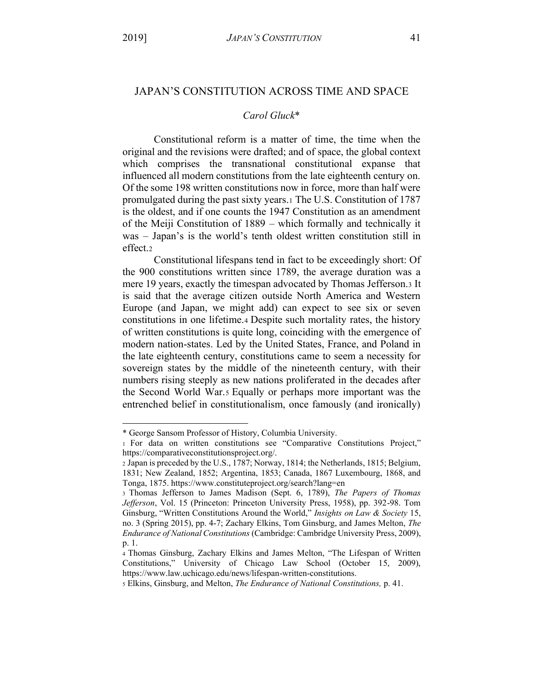## *Carol Gluck*\*

Constitutional reform is a matter of time, the time when the original and the revisions were drafted; and of space, the global context which comprises the transnational constitutional expanse that influenced all modern constitutions from the late eighteenth century on. Of the some 198 written constitutions now in force, more than half were promulgated during the past sixty years.1 The U.S. Constitution of 1787 is the oldest, and if one counts the 1947 Constitution as an amendment of the Meiji Constitution of 1889 – which formally and technically it was – Japan's is the world's tenth oldest written constitution still in effect.2

Constitutional lifespans tend in fact to be exceedingly short: Of the 900 constitutions written since 1789, the average duration was a mere 19 years, exactly the timespan advocated by Thomas Jefferson.3 It is said that the average citizen outside North America and Western Europe (and Japan, we might add) can expect to see six or seven constitutions in one lifetime.4 Despite such mortality rates, the history of written constitutions is quite long, coinciding with the emergence of modern nation-states. Led by the United States, France, and Poland in the late eighteenth century, constitutions came to seem a necessity for sovereign states by the middle of the nineteenth century, with their numbers rising steeply as new nations proliferated in the decades after the Second World War.5 Equally or perhaps more important was the entrenched belief in constitutionalism, once famously (and ironically)

<sup>\*</sup> George Sansom Professor of History, Columbia University.

<sup>1</sup> For data on written constitutions see "Comparative Constitutions Project," https://comparativeconstitutionsproject.org/.

<sup>2</sup> Japan is preceded by the U.S., 1787; Norway, 1814; the Netherlands, 1815; Belgium, 1831; New Zealand, 1852; Argentina, 1853; Canada, 1867 Luxembourg, 1868, and Tonga, 1875. https://www.constituteproject.org/search?lang=en

<sup>3</sup> Thomas Jefferson to James Madison (Sept. 6, 1789), *The Papers of Thomas Jefferson*, Vol. 15 (Princeton: Princeton University Press, 1958), pp. 392-98. Tom Ginsburg, "Written Constitutions Around the World," Insights on Law & Society 15, no. 3 (Spring 2015), pp. 4-7; Zachary Elkins, Tom Ginsburg, and James Melton, *The Endurance of National Constitutions* (Cambridge: Cambridge University Press, 2009), p. 1.

<sup>4</sup> Thomas Ginsburg, Zachary Elkins and James Melton, "The Lifespan of Written Constitutions," University of Chicago Law School (October 15, 2009), https://www.law.uchicago.edu/news/lifespan-written-constitutions.

<sup>5</sup> Elkins, Ginsburg, and Melton, *The Endurance of National Constitutions,* p. 41.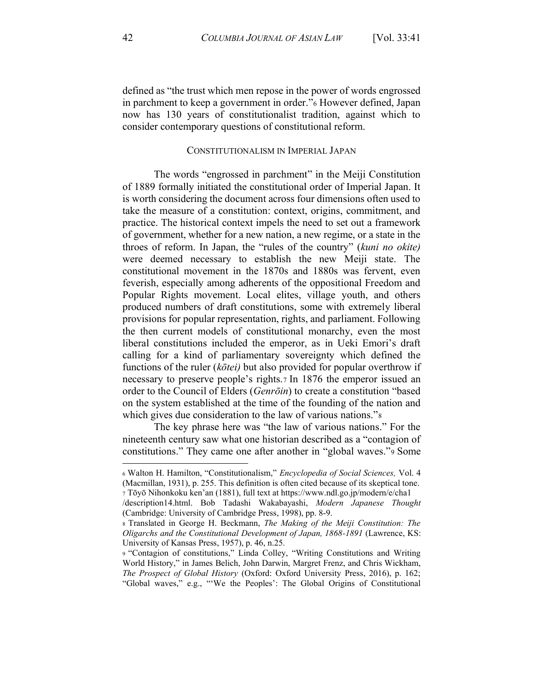defined as "the trust which men repose in the power of words engrossed in parchment to keep a government in order." However defined, Japan now has 130 years of constitutionalist tradition, against which to consider contemporary questions of constitutional reform.

## CONSTITUTIONALISM IN IMPERIAL JAPAN

The words "engrossed in parchment" in the Meiji Constitution of 1889 formally initiated the constitutional order of Imperial Japan. It is worth considering the document across four dimensions often used to take the measure of a constitution: context, origins, commitment, and practice. The historical context impels the need to set out a framework of government, whether for a new nation, a new regime, or a state in the throes of reform. In Japan, the "rules of the country" (kuni no okite) were deemed necessary to establish the new Meiji state. The constitutional movement in the 1870s and 1880s was fervent, even feverish, especially among adherents of the oppositional Freedom and Popular Rights movement. Local elites, village youth, and others produced numbers of draft constitutions, some with extremely liberal provisions for popular representation, rights, and parliament. Following the then current models of constitutional monarchy, even the most liberal constitutions included the emperor, as in Ueki Emori's draft calling for a kind of parliamentary sovereignty which defined the functions of the ruler ( $k\bar{o}tei$ ) but also provided for popular overthrow if necessary to preserve people's rights.7 In 1876 the emperor issued an order to the Council of Elders (*Genrōin*) to create a constitution "based on the system established at the time of the founding of the nation and which gives due consideration to the law of various nations."

The key phrase here was "the law of various nations." For the nineteenth century saw what one historian described as a "contagion of constitutions." They came one after another in "global waves." Some

<sup>6</sup> Walton H. Hamilton, "Constitutionalism," Encyclopedia of Social Sciences, Vol. 4 (Macmillan, 1931), p. 255. This definition is often cited because of its skeptical tone. 7 Tōyō Nihonkoku ken'an (1881), full text at https://www.ndl.go.jp/modern/e/cha1

<sup>/</sup>description14.html. Bob Tadashi Wakabayashi, Modern Japanese Thought (Cambridge: University of Cambridge Press, 1998), pp. 8-9.

<sup>8</sup> Translated in George H. Beckmann, The Making of the Meiji Constitution: The Oligarchs and the Constitutional Development of Japan, 1868-1891 (Lawrence, KS: University of Kansas Press, 1957), p. 46, n.25.

<sup>9 &</sup>quot;Contagion of constitutions," Linda Colley, "Writing Constitutions and Writing World History," in James Belich, John Darwin, Margret Frenz, and Chris Wickham, The Prospect of Global History (Oxford: Oxford University Press, 2016), p. 162; "Global waves," e.g., "'We the Peoples': The Global Origins of Constitutional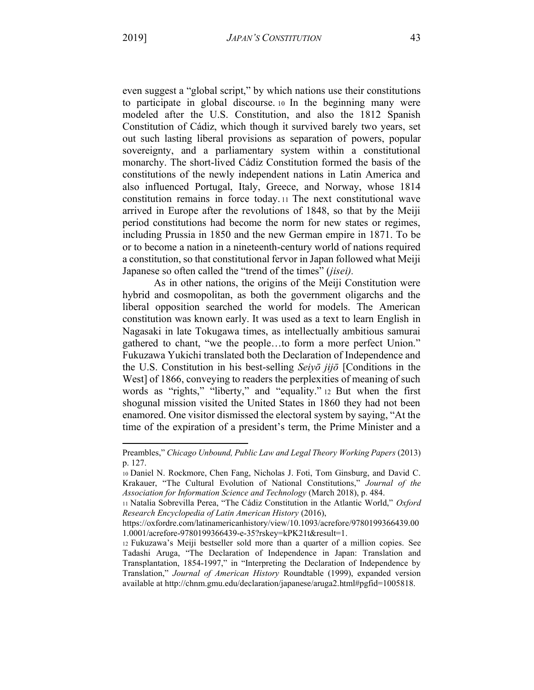even suggest a "global script," by which nations use their constitutions to participate in global discourse to In the beginning many were modeled after the U.S. Constitution, and also the 1812 Spanish Constitution of Cádiz, which though it survived barely two years, set out such lasting liberal provisions as separation of powers, popular sovereignty, and a parliamentary system within a constitutional monarchy. The short-lived Cádiz Constitution formed the basis of the constitutions of the newly independent nations in Latin America and also influenced Portugal, Italy, Greece, and Norway, whose 1814 constitution remains in force today. 11 The next constitutional wave arrived in Europe after the revolutions of 1848, so that by the Meiji period constitutions had become the norm for new states or regimes, including Prussia in 1850 and the new German empire in 1871. To be or to become a nation in a nineteenth-century world of nations required a constitution, so that constitutional fervor in Japan followed what Meiji Japanese so often called the "trend of the times" (*jisei*).

As in other nations, the origins of the Meiji Constitution were hybrid and cosmopolitan, as both the government oligarchs and the liberal opposition searched the world for models. The American constitution was known early. It was used as a text to learn English in Nagasaki in late Tokugawa times, as intellectually ambitious samurai gathered to chant, "we the people...to form a more perfect Union." Fukuzawa Yukichi translated both the Declaration of Independence and the U.S. Constitution in his best-selling Seivo  $ji\bar{j}$  [Conditions in the West of 1866, conveying to readers the perplexities of meaning of such words as "rights," "liberty," and "equality." 12 But when the first shogunal mission visited the United States in 1860 they had not been enamored. One visitor dismissed the electoral system by saying, "At the time of the expiration of a president's term, the Prime Minister and a

Preambles," Chicago Unbound, Public Law and Legal Theory Working Papers (2013) p. 127.

<sup>10</sup> Daniel N. Rockmore, Chen Fang, Nicholas J. Foti, Tom Ginsburg, and David C. Krakauer, "The Cultural Evolution of National Constitutions," Journal of the Association for Information Science and Technology (March 2018), p. 484.

<sup>11</sup> Natalia Sobrevilla Perea, "The Cádiz Constitution in the Atlantic World," Oxford Research Encyclopedia of Latin American History (2016),

https://oxfordre.com/latinamericanhistory/view/10.1093/acrefore/9780199366439.00 1.0001/acrefore-9780199366439-e-35?rskey=kPK21t&result=1.

<sup>12</sup> Fukuzawa's Meiji bestseller sold more than a quarter of a million copies. See Tadashi Aruga, "The Declaration of Independence in Japan: Translation and Transplantation, 1854-1997," in "Interpreting the Declaration of Independence by Translation," Journal of American History Roundtable (1999), expanded version available at http://chnm.gmu.edu/declaration/japanese/aruga2.html#pgfid=1005818.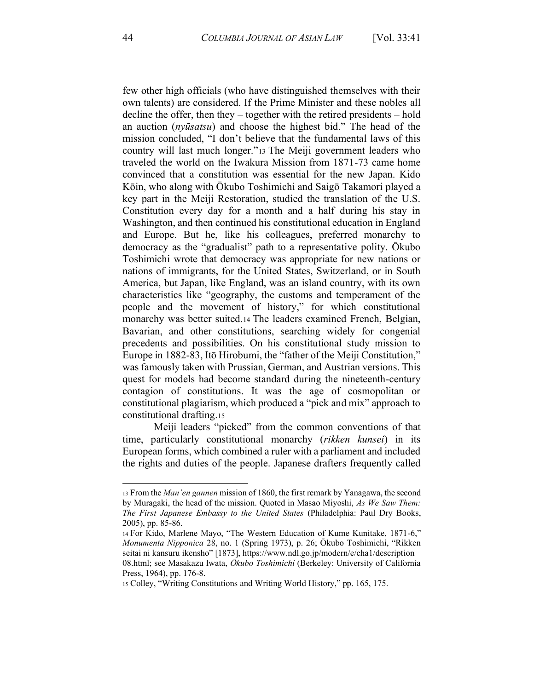few other high officials (who have distinguished themselves with their own talents) are considered. If the Prime Minister and these nobles all decline the offer, then they – together with the retired presidents – hold an auction *(nyūsatsu)* and choose the highest bid." The head of the mission concluded, "I don't believe that the fundamental laws of this country will last much longer."<sup>13</sup> The Meiji government leaders who traveled the world on the Iwakura Mission from 1871-73 came home convinced that a constitution was essential for the new Japan. Kido Kōin, who along with Ōkubo Toshimichi and Saigō Takamori played a key part in the Meiji Restoration, studied the translation of the U.S. Constitution every day for a month and a half during his stay in Washington, and then continued his constitutional education in England and Europe. But he, like his colleagues, preferred monarchy to democracy as the "gradualist" path to a representative polity. Okubo Toshimichi wrote that democracy was appropriate for new nations or nations of immigrants, for the United States, Switzerland, or in South America, but Japan, like England, was an island country, with its own characteristics like "geography, the customs and temperament of the people and the movement of history," for which constitutional monarchy was better suited.<sup>14</sup> The leaders examined French, Belgian, Bavarian, and other constitutions, searching widely for congenial precedents and possibilities. On his constitutional study mission to Europe in 1882-83, Itō Hirobumi, the "father of the Meiji Constitution," was famously taken with Prussian, German, and Austrian versions. This quest for models had become standard during the nineteenth-century contagion of constitutions. It was the age of cosmopolitan or constitutional plagiarism, which produced a "pick and mix" approach to constitutional drafting.15

Meiji leaders "picked" from the common conventions of that time, particularly constitutional monarchy (rikken kunsei) in its European forms, which combined a ruler with a parliament and included the rights and duties of the people. Japanese drafters frequently called

<sup>13</sup> From the Man'en gannen mission of 1860, the first remark by Yanagawa, the second by Muragaki, the head of the mission. Quoted in Masao Miyoshi, As We Saw Them: The First Japanese Embassy to the United States (Philadelphia: Paul Dry Books, 2005), pp. 85-86.

<sup>14</sup> For Kido, Marlene Mayo, "The Western Education of Kume Kunitake, 1871-6," Monumenta Nipponica 28, no. 1 (Spring 1973), p. 26; Ōkubo Toshimichi, "Rikken seitai ni kansuru ikensho" [1873], https://www.ndl.go.jp/modern/e/cha1/description 08.html; see Masakazu Iwata, Okubo Toshimichi (Berkeley: University of California Press, 1964), pp. 176-8.

<sup>15</sup> Colley, "Writing Constitutions and Writing World History," pp. 165, 175.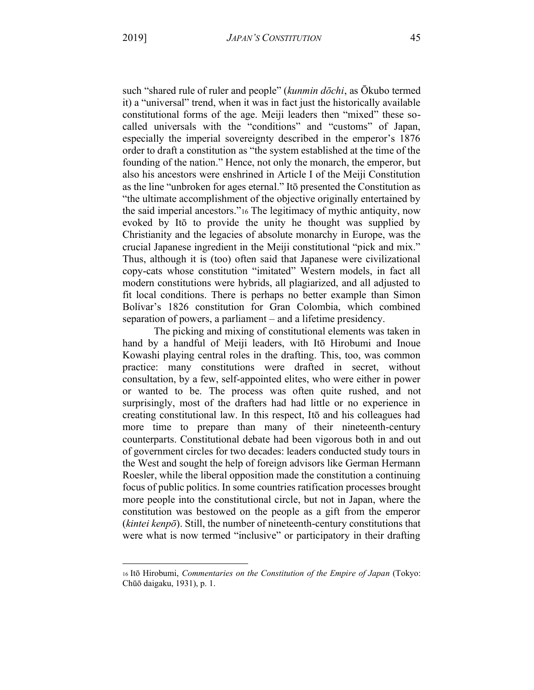45

such "shared rule of ruler and people" (kunmin dōchi, as Ōkubo termed it) a "universal" trend, when it was in fact just the historically available constitutional forms of the age. Meiji leaders then "mixed" these socalled universals with the "conditions" and "customs" of Japan, especially the imperial sovereignty described in the emperor's 1876 order to draft a constitution as "the system established at the time of the founding of the nation." Hence, not only the monarch, the emperor, but also his ancestors were enshrined in Article I of the Meiji Constitution as the line "unbroken for ages eternal." Itō presented the Constitution as "the ultimate accomplishment of the objective originally entertained by the said imperial ancestors."<sup>16</sup> The legitimacy of mythic antiquity, now evoked by Itō to provide the unity he thought was supplied by Christianity and the legacies of absolute monarchy in Europe, was the crucial Japanese ingredient in the Meiji constitutional "pick and mix." Thus, although it is (too) often said that Japanese were civilizational copy-cats whose constitution "imitated" Western models, in fact all modern constitutions were hybrids, all plagiarized, and all adjusted to fit local conditions. There is perhaps no better example than Simon Bolívar's 1826 constitution for Gran Colombia, which combined separation of powers, a parliament – and a lifetime presidency.

The picking and mixing of constitutional elements was taken in hand by a handful of Meiji leaders, with Itō Hirobumi and Inoue Kowashi playing central roles in the drafting. This, too, was common practice: many constitutions were drafted in secret, without consultation, by a few, self-appointed elites, who were either in power or wanted to be. The process was often quite rushed, and not surprisingly, most of the drafters had had little or no experience in creating constitutional law. In this respect, Ito and his colleagues had more time to prepare than many of their nineteenth-century counterparts. Constitutional debate had been vigorous both in and out of government circles for two decades: leaders conducted study tours in the West and sought the help of foreign advisors like German Hermann Roesler, while the liberal opposition made the constitution a continuing focus of public politics. In some countries ratification processes brought more people into the constitutional circle, but not in Japan, where the constitution was bestowed on the people as a gift from the emperor (kintei kenpō). Still, the number of nineteenth-century constitutions that were what is now termed "inclusive" or participatory in their drafting

<sup>16</sup> Itō Hirobumi, Commentaries on the Constitution of the Empire of Japan (Tokyo: Chūō daigaku, 1931), p. 1.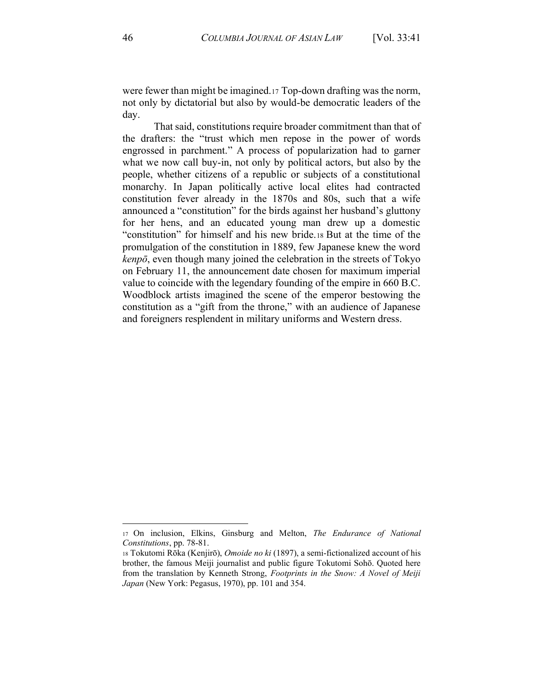were fewer than might be imagined. 17 Top-down drafting was the norm, not only by dictatorial but also by would-be democratic leaders of the dav.

That said, constitutions require broader commitment than that of the drafters: the "trust which men repose in the power of words engrossed in parchment." A process of popularization had to garner what we now call buy-in, not only by political actors, but also by the people, whether citizens of a republic or subjects of a constitutional monarchy. In Japan politically active local elites had contracted constitution fever already in the 1870s and 80s, such that a wife announced a "constitution" for the birds against her husband's gluttony for her hens, and an educated young man drew up a domestic "constitution" for himself and his new bride.18 But at the time of the promulgation of the constitution in 1889, few Japanese knew the word kenpō, even though many joined the celebration in the streets of Tokyo on February 11, the announcement date chosen for maximum imperial value to coincide with the legendary founding of the empire in 660 B.C. Woodblock artists imagined the scene of the emperor bestowing the constitution as a "gift from the throne," with an audience of Japanese and foreigners resplendent in military uniforms and Western dress.

<sup>17</sup> On inclusion, Elkins, Ginsburg and Melton, *The Endurance of National* Constitutions, pp. 78-81.

<sup>18</sup> Tokutomi Rōka (Kenjirō), *Omoide no ki* (1897), a semi-fictionalized account of his brother, the famous Meiji journalist and public figure Tokutomi Sohō. Quoted here from the translation by Kenneth Strong, Footprints in the Snow: A Novel of Meiji Japan (New York: Pegasus, 1970), pp. 101 and 354.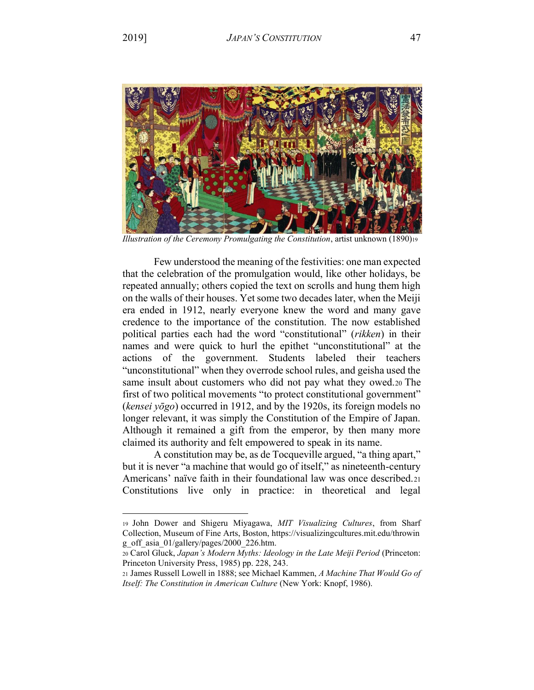

Illustration of the Ceremony Promulgating the Constitution, artist unknown (1890)19

Few understood the meaning of the festivities: one man expected that the celebration of the promulgation would, like other holidays, be repeated annually; others copied the text on scrolls and hung them high on the walls of their houses. Yet some two decades later, when the Meiji era ended in 1912, nearly everyone knew the word and many gave credence to the importance of the constitution. The now established political parties each had the word "constitutional" (rikken) in their names and were quick to hurl the epithet "unconstitutional" at the actions of the government. Students labeled their teachers "unconstitutional" when they overrode school rules, and geisha used the same insult about customers who did not pay what they owed.20 The first of two political movements "to protect constitutional government" (kensei  $\bar{v}$  occurred in 1912, and by the 1920s, its foreign models no longer relevant, it was simply the Constitution of the Empire of Japan. Although it remained a gift from the emperor, by then many more claimed its authority and felt empowered to speak in its name.

A constitution may be, as de Tocqueville argued, "a thing apart," but it is never "a machine that would go of itself," as nineteenth-century Americans' naïve faith in their foundational law was once described.21 Constitutions live only in practice: in theoretical and legal

<sup>19</sup> John Dower and Shigeru Miyagawa, MIT Visualizing Cultures, from Sharf Collection, Museum of Fine Arts, Boston, https://visualizingcultures.mit.edu/throwin g off asia 01/gallery/pages/2000 226.htm.

<sup>20</sup> Carol Gluck, Japan's Modern Myths: Ideology in the Late Meiji Period (Princeton: Princeton University Press, 1985) pp. 228, 243.

<sup>21</sup> James Russell Lowell in 1888; see Michael Kammen, A Machine That Would Go of Itself: The Constitution in American Culture (New York: Knopf, 1986).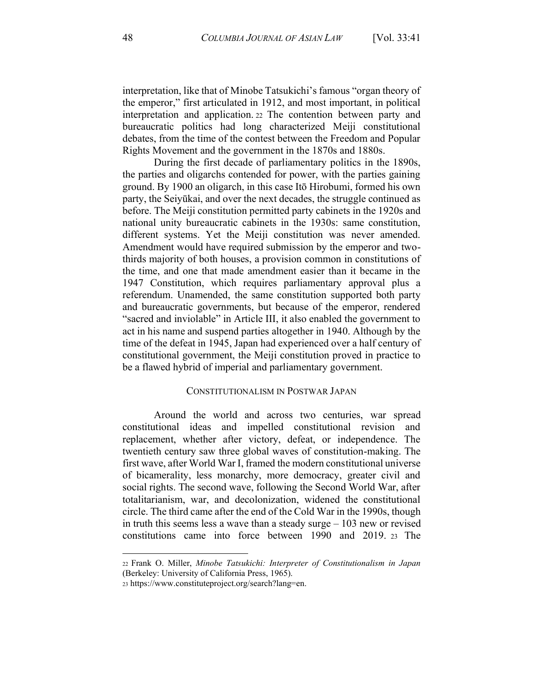interpretation, like that of Minobe Tatsukichi's famous "organ theory of the emperor," first articulated in 1912, and most important, in political interpretation and application. <sup>22</sup> The contention between party and bureaucratic politics had long characterized Meiji constitutional debates, from the time of the contest between the Freedom and Popular Rights Movement and the government in the 1870s and 1880s.

During the first decade of parliamentary politics in the 1890s, the parties and oligarchs contended for power, with the parties gaining ground. By 1900 an oligarch, in this case Itō Hirobumi, formed his own party, the Seiyūkai, and over the next decades, the struggle continued as before. The Meiji constitution permitted party cabinets in the 1920s and national unity bureaucratic cabinets in the 1930s: same constitution, different systems. Yet the Meiji constitution was never amended. Amendment would have required submission by the emperor and twothirds majority of both houses, a provision common in constitutions of the time, and one that made amendment easier than it became in the 1947 Constitution, which requires parliamentary approval plus a referendum. Unamended, the same constitution supported both party and bureaucratic governments, but because of the emperor, rendered "sacred and inviolable" in Article III, it also enabled the government to act in his name and suspend parties altogether in 1940. Although by the time of the defeat in 1945, Japan had experienced over a half century of constitutional government, the Meiji constitution proved in practice to be a flawed hybrid of imperial and parliamentary government.

## CONSTITUTIONALISM IN POSTWAR JAPAN

Around the world and across two centuries, war spread constitutional ideas and impelled constitutional revision and replacement, whether after victory, defeat, or independence. The twentieth century saw three global waves of constitution-making. The first wave, after World War I, framed the modern constitutional universe of bicamerality, less monarchy, more democracy, greater civil and social rights. The second wave, following the Second World War, after totalitarianism, war, and decolonization, widened the constitutional circle. The third came after the end of the Cold War in the 1990s, though in truth this seems less a wave than a steady surge  $-103$  new or revised constitutions came into force between 1990 and 2019. <sup>23</sup> The

<sup>22</sup> Frank O. Miller, *Minobe Tatsukichi: Interpreter of Constitutionalism in Japan* (Berkeley: University of California Press, 1965).

<sup>23</sup> https://www.constituteproject.org/search?lang=en.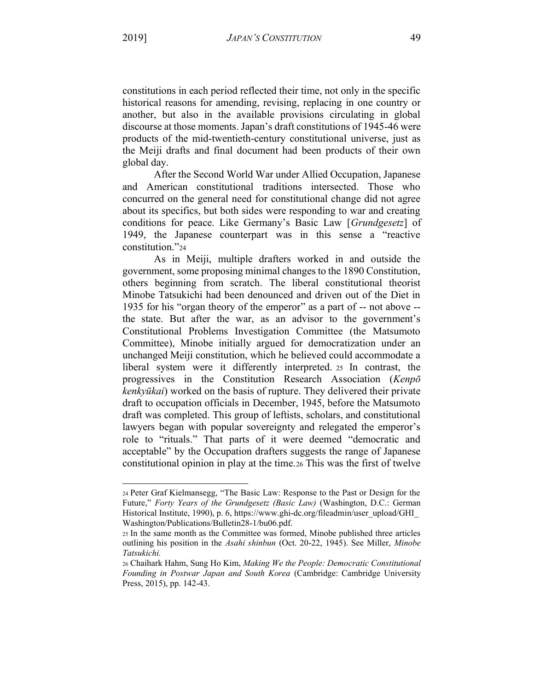constitutions in each period reflected their time, not only in the specific historical reasons for amending, revising, replacing in one country or another, but also in the available provisions circulating in global discourse at those moments. Japan's draft constitutions of 1945-46 were products of the mid-twentieth-century constitutional universe, just as the Meiji drafts and final document had been products of their own global day.

After the Second World War under Allied Occupation, Japanese and American constitutional traditions intersected. Those who concurred on the general need for constitutional change did not agree about its specifics, but both sides were responding to war and creating conditions for peace. Like Germany's Basic Law [*Grundgesetz*] of 1949, the Japanese counterpart was in this sense a "reactive constitution."24

As in Meiji, multiple drafters worked in and outside the government, some proposing minimal changes to the 1890 Constitution, others beginning from scratch. The liberal constitutional theorist Minobe Tatsukichi had been denounced and driven out of the Diet in 1935 for his "organ theory of the emperor" as a part of -- not above -the state. But after the war, as an advisor to the government's Constitutional Problems Investigation Committee (the Matsumoto Committee), Minobe initially argued for democratization under an unchanged Meiji constitution, which he believed could accommodate a liberal system were it differently interpreted. <sup>25</sup> In contrast, the progressives in the Constitution Research Association (*Kenp*<sup> $\bar{o}$ </sup>) *kenkyūkai*) worked on the basis of rupture. They delivered their private draft to occupation officials in December, 1945, before the Matsumoto draft was completed. This group of leftists, scholars, and constitutional lawyers began with popular sovereignty and relegated the emperor's role to "rituals." That parts of it were deemed "democratic and acceptable" by the Occupation drafters suggests the range of Japanese constitutional opinion in play at the time.26 This was the first of twelve

<sup>24</sup> Peter Graf Kielmansegg, "The Basic Law: Response to the Past or Design for the Future," Forty Years of the Grundgesetz (Basic Law) (Washington, D.C.: German Historical Institute, 1990), p. 6, https://www.ghi-dc.org/fileadmin/user\_upload/GHI\_ Washington/Publications/Bulletin28-1/bu06.pdf.

<sup>25</sup> In the same month as the Committee was formed, Minobe published three articles outlining his position in the *Asahi shinbun* (Oct. 20-22, 1945). See Miller, *Minobe Tatsukichi.*

<sup>26</sup> Chaihark Hahm, Sung Ho Kim, *Making We the People: Democratic Constitutional Founding in Postwar Japan and South Korea* (Cambridge: Cambridge University Press, 2015), pp. 142-43.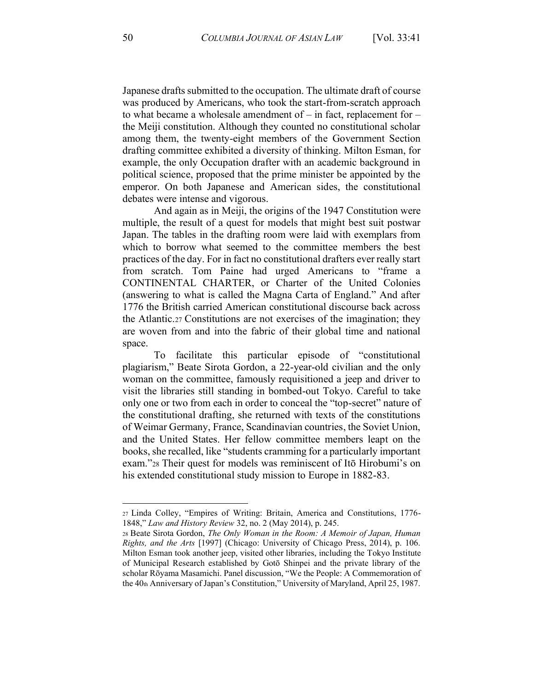Japanese drafts submitted to the occupation. The ultimate draft of course was produced by Americans, who took the start-from-scratch approach to what became a wholesale amendment of  $-\text{ in fact, replacement for }$ the Meiji constitution. Although they counted no constitutional scholar among them, the twenty-eight members of the Government Section drafting committee exhibited a diversity of thinking. Milton Esman, for example, the only Occupation drafter with an academic background in political science, proposed that the prime minister be appointed by the emperor. On both Japanese and American sides, the constitutional debates were intense and vigorous.

And again as in Meiji, the origins of the 1947 Constitution were multiple, the result of a quest for models that might best suit postwar Japan. The tables in the drafting room were laid with exemplars from which to borrow what seemed to the committee members the best practices of the day. For in fact no constitutional drafters ever really start from scratch. Tom Paine had urged Americans to "frame a CONTINENTAL CHARTER, or Charter of the United Colonies (answering to what is called the Magna Carta of England.<sup>\*</sup> And after 1776 the British carried American constitutional discourse back across the Atlantic.27 Constitutions are not exercises of the imagination; they are woven from and into the fabric of their global time and national space.

To facilitate this particular episode of "constitutional plagiarism," Beate Sirota Gordon, a 22-year-old civilian and the only woman on the committee, famously requisitioned a jeep and driver to visit the libraries still standing in bombed-out Tokyo. Careful to take only one or two from each in order to conceal the "top-secret" nature of the constitutional drafting, she returned with texts of the constitutions of Weimar Germany, France, Scandinavian countries, the Soviet Union, and the United States. Her fellow committee members leapt on the books, she recalled, like "students cramming for a particularly important exam."28 Their quest for models was reminiscent of Itō Hirobumi's on his extended constitutional study mission to Europe in 1882-83.

<sup>27</sup> Linda Colley, "Empires of Writing: Britain, America and Constitutions, 1776-1848,´ *Law and History Review* 32, no. 2 (May 2014), p. 245.

<sup>28</sup> Beate Sirota Gordon, *The Only Woman in the Room: A Memoir of Japan, Human Rights, and the Arts* [1997] (Chicago: University of Chicago Press, 2014), p. 106. Milton Esman took another jeep, visited other libraries, including the Tokyo Institute of Municipal Research established by Gotō Shinpei and the private library of the scholar Rōyama Masamichi. Panel discussion, "We the People: A Commemoration of the  $40<sub>th</sub>$  Anniversary of Japan's Constitution," University of Maryland, April 25, 1987.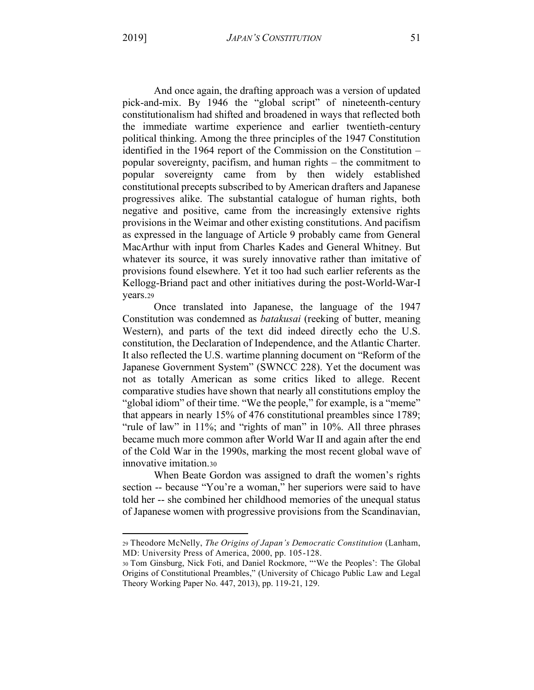And once again, the drafting approach was a version of updated pick-and-mix. By 1946 the "global script" of nineteenth-century constitutionalism had shifted and broadened in ways that reflected both the immediate wartime experience and earlier twentieth-century political thinking. Among the three principles of the 1947 Constitution identified in the 1964 report of the Commission on the Constitution – popular sovereignty, pacifism, and human rights – the commitment to popular sovereignty came from by then widely established constitutional precepts subscribed to by American drafters and Japanese progressives alike. The substantial catalogue of human rights, both negative and positive, came from the increasingly extensive rights provisions in the Weimar and other existing constitutions. And pacifism as expressed in the language of Article 9 probably came from General MacArthur with input from Charles Kades and General Whitney. But whatever its source, it was surely innovative rather than imitative of provisions found elsewhere. Yet it too had such earlier referents as the Kellogg-Briand pact and other initiatives during the post-World-War-I vears.29

Once translated into Japanese, the language of the 1947 Constitution was condemned as *batakusai* (reeking of butter, meaning Western), and parts of the text did indeed directly echo the U.S. constitution, the Declaration of Independence, and the Atlantic Charter. It also reflected the U.S. wartime planning document on "Reform of the Japanese Government System" (SWNCC 228). Yet the document was not as totally American as some critics liked to allege. Recent comparative studies have shown that nearly all constitutions employ the "global idiom" of their time. "We the people," for example, is a "meme" that appears in nearly 15% of 476 constitutional preambles since 1789; "rule of law" in 11%; and "rights of man" in 10%. All three phrases became much more common after World War II and again after the end of the Cold War in the 1990s, marking the most recent global wave of innovative imitation 30

When Beate Gordon was assigned to draft the women's rights section -- because "You're a woman," her superiors were said to have told her -- she combined her childhood memories of the unequal status of Japanese women with progressive provisions from the Scandinavian,

<sup>29</sup> Theodore McNelly, The Origins of Japan's Democratic Constitution (Lanham, MD: University Press of America, 2000, pp. 105-128.

<sup>30</sup> Tom Ginsburg, Nick Foti, and Daniel Rockmore, "'We the Peoples': The Global Origins of Constitutional Preambles," (University of Chicago Public Law and Legal Theory Working Paper No. 447, 2013), pp. 119-21, 129.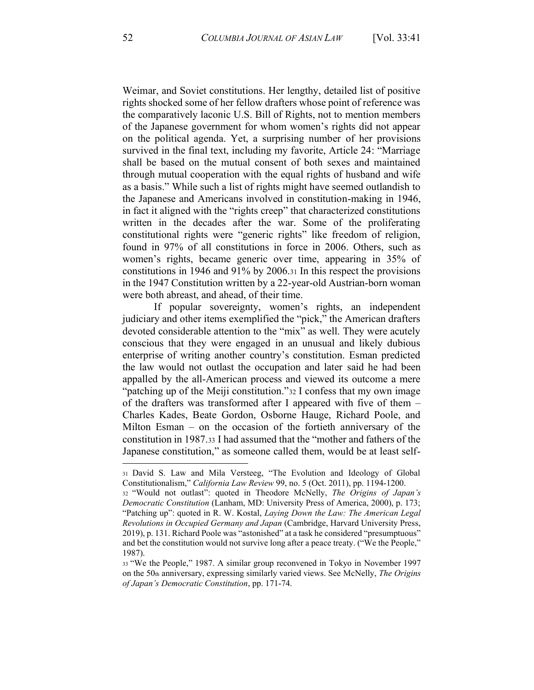Weimar, and Soviet constitutions. Her lengthy, detailed list of positive rights shocked some of her fellow drafters whose point of reference was the comparatively laconic U.S. Bill of Rights, not to mention members of the Japanese government for whom women's rights did not appear on the political agenda. Yet, a surprising number of her provisions survived in the final text, including my favorite, Article 24: "Marriage shall be based on the mutual consent of both sexes and maintained through mutual cooperation with the equal rights of husband and wife as a basis." While such a list of rights might have seemed outlandish to the Japanese and Americans involved in constitution-making in 1946, in fact it aligned with the "rights creep" that characterized constitutions written in the decades after the war. Some of the proliferating constitutional rights were "generic rights" like freedom of religion, found in 97% of all constitutions in force in 2006. Others, such as women's rights, became generic over time, appearing in 35% of constitutions in 1946 and 91% by 2006.31 In this respect the provisions in the 1947 Constitution written by a 22-year-old Austrian-born woman were both abreast, and ahead, of their time.

If popular sovereignty, women's rights, an independent judiciary and other items exemplified the "pick," the American drafters devoted considerable attention to the "mix" as well. They were acutely conscious that they were engaged in an unusual and likely dubious enterprise of writing another country's constitution. Esman predicted the law would not outlast the occupation and later said he had been appalled by the all-American process and viewed its outcome a mere "patching up of the Meiji constitution." 32 I confess that my own image of the drafters was transformed after I appeared with five of them – Charles Kades, Beate Gordon, Osborne Hauge, Richard Poole, and Milton Esman – on the occasion of the fortieth anniversary of the constitution in 1987.33 I had assumed that the "mother and fathers of the Japanese constitution," as someone called them, would be at least self-

<sup>31</sup> David S. Law and Mila Versteeg, "The Evolution and Ideology of Global Constitutionalism," California Law Review 99, no. 5 (Oct. 2011), pp. 1194-1200.

<sup>32 &</sup>quot;Would not outlast": quoted in Theodore McNelly, The Origins of Japan's Democratic Constitution (Lanham, MD: University Press of America, 2000), p. 173; "Patching up": quoted in R. W. Kostal, Laying Down the Law: The American Legal Revolutions in Occupied Germany and Japan (Cambridge, Harvard University Press, 2019), p. 131. Richard Poole was "astonished" at a task he considered "presumptuous" and bet the constitution would not survive long after a peace treaty. ("We the People,"  $1987$ ).

<sup>33 &</sup>quot;We the People," 1987. A similar group reconvened in Tokyo in November 1997 on the 50th anniversary, expressing similarly varied views. See McNelly, The Origins of Japan's Democratic Constitution, pp. 171-74.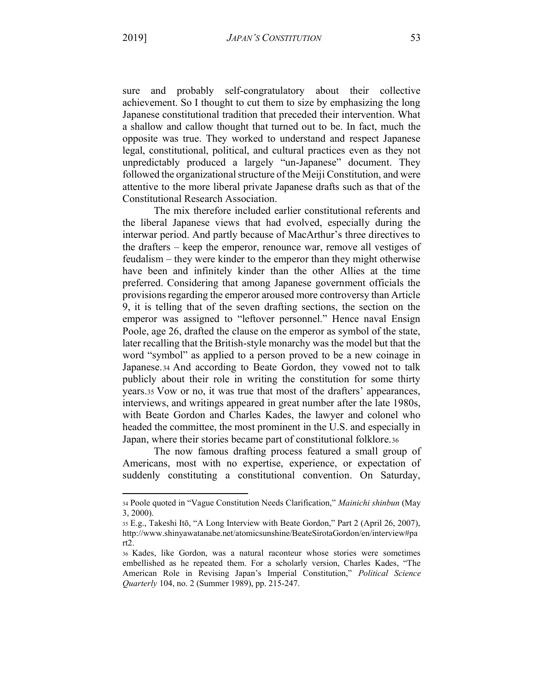2019]

sure and probably self-congratulatory about their collective achievement. So I thought to cut them to size by emphasizing the long Japanese constitutional tradition that preceded their intervention. What a shallow and callow thought that turned out to be. In fact, much the opposite was true. They worked to understand and respect Japanese legal, constitutional, political, and cultural practices even as they not unpredictably produced a largely "un-Japanese" document. They followed the organizational structure of the Meiji Constitution, and were attentive to the more liberal private Japanese drafts such as that of the **Constitutional Research Association.** 

The mix therefore included earlier constitutional referents and the liberal Japanese views that had evolved, especially during the interwar period. And partly because of MacArthur's three directives to the drafters – keep the emperor, renounce war, remove all vestiges of feudalism – they were kinder to the emperor than they might otherwise have been and infinitely kinder than the other Allies at the time preferred. Considering that among Japanese government officials the provisions regarding the emperor aroused more controversy than Article 9, it is telling that of the seven drafting sections, the section on the emperor was assigned to "leftover personnel." Hence naval Ensign Poole, age 26, drafted the clause on the emperor as symbol of the state, later recalling that the British-style monarchy was the model but that the word "symbol" as applied to a person proved to be a new coinage in Japanese. 34 And according to Beate Gordon, they vowed not to talk publicly about their role in writing the constitution for some thirty years.35 Vow or no, it was true that most of the drafters' appearances, interviews, and writings appeared in great number after the late 1980s, with Beate Gordon and Charles Kades, the lawyer and colonel who headed the committee, the most prominent in the U.S. and especially in Japan, where their stories became part of constitutional folklore.36

The now famous drafting process featured a small group of Americans, most with no expertise, experience, or expectation of suddenly constituting a constitutional convention. On Saturday,

<sup>34</sup> Poole quoted in "Vague Constitution Needs Clarification," Mainichi shinbun (May 3, 2000).

<sup>35</sup> E.g., Takeshi Itō, "A Long Interview with Beate Gordon," Part 2 (April 26, 2007), http://www.shinyawatanabe.net/atomicsunshine/BeateSirotaGordon/en/interview#pa  $rt2.$ 

<sup>36</sup> Kades, like Gordon, was a natural raconteur whose stories were sometimes embellished as he repeated them. For a scholarly version, Charles Kades, "The American Role in Revising Japan's Imperial Constitution," Political Science Quarterly 104, no. 2 (Summer 1989), pp. 215-247.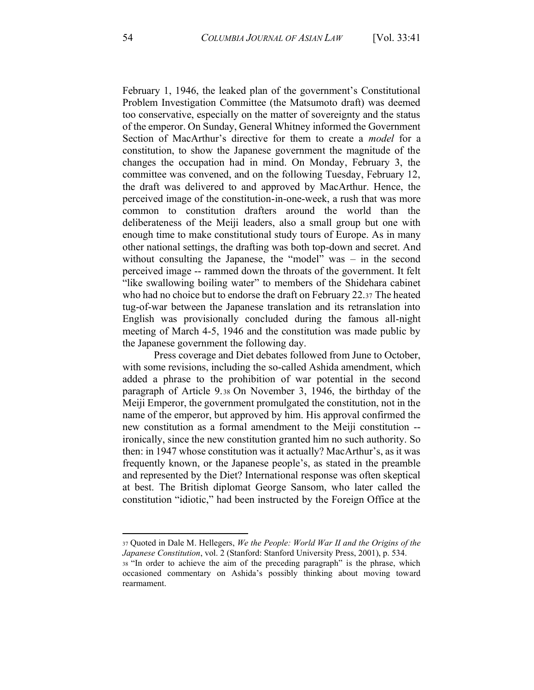February 1, 1946, the leaked plan of the government's Constitutional Problem Investigation Committee (the Matsumoto draft) was deemed too conservative, especially on the matter of sovereignty and the status of the emperor. On Sunday, General Whitney informed the Government Section of MacArthur's directive for them to create a *model* for a constitution, to show the Japanese government the magnitude of the changes the occupation had in mind. On Monday, February 3, the committee was convened, and on the following Tuesday, February 12, the draft was delivered to and approved by MacArthur. Hence, the perceived image of the constitution-in-one-week, a rush that was more common to constitution drafters around the world than the deliberateness of the Meiji leaders, also a small group but one with enough time to make constitutional study tours of Europe. As in many other national settings, the drafting was both top-down and secret. And without consulting the Japanese, the "model" was  $-$  in the second perceived image -- rammed down the throats of the government. It felt "like swallowing boiling water" to members of the Shidehara cabinet who had no choice but to endorse the draft on February 22.37 The heated tug-of-war between the Japanese translation and its retranslation into English was provisionally concluded during the famous all-night meeting of March 4-5, 1946 and the constitution was made public by the Japanese government the following day.

Press coverage and Diet debates followed from June to October, with some revisions, including the so-called Ashida amendment, which added a phrase to the prohibition of war potential in the second paragraph of Article 9.38 On November 3, 1946, the birthday of the Meiji Emperor, the government promulgated the constitution, not in the name of the emperor, but approved by him. His approval confirmed the new constitution as a formal amendment to the Meiji constitution - ironically, since the new constitution granted him no such authority. So then: in 1947 whose constitution was it actually? MacArthur's, as it was frequently known, or the Japanese people's, as stated in the preamble and represented by the Diet? International response was often skeptical at best. The British diplomat George Sansom, who later called the constitution "idiotic," had been instructed by the Foreign Office at the

<sup>37</sup> Quoted in Dale M. Hellegers, *We the People: World War II and the Origins of the Japanese Constitution*, vol. 2 (Stanford: Stanford University Press, 2001), p. 534.

<sup>38 &</sup>quot;In order to achieve the aim of the preceding paragraph" is the phrase, which occasioned commentary on Ashida's possibly thinking about moving toward rearmament.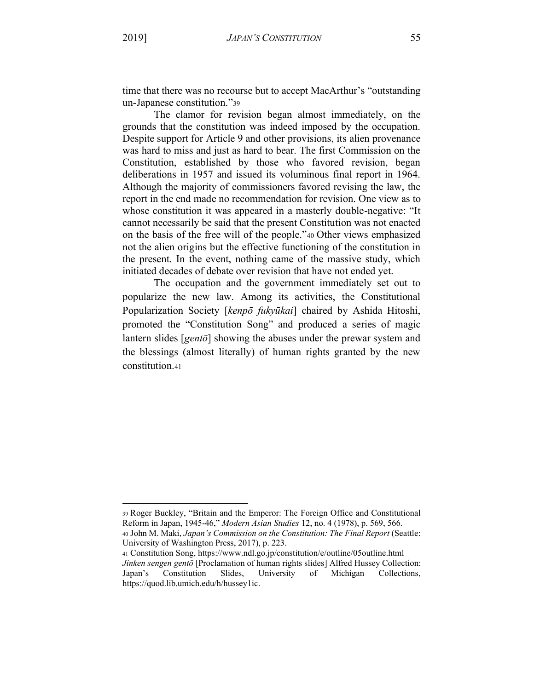time that there was no recourse but to accept MacArthur's "outstanding un-Japanese constitution."39

The clamor for revision began almost immediately, on the grounds that the constitution was indeed imposed by the occupation. Despite support for Article 9 and other provisions, its alien provenance was hard to miss and just as hard to bear. The first Commission on the Constitution, established by those who favored revision, began deliberations in 1957 and issued its voluminous final report in 1964. Although the majority of commissioners favored revising the law, the report in the end made no recommendation for revision. One view as to whose constitution it was appeared in a masterly double-negative: "It cannot necessarily be said that the present Constitution was not enacted on the basis of the free will of the people.<sup>3</sup> 40 Other views emphasized not the alien origins but the effective functioning of the constitution in the present. In the event, nothing came of the massive study, which initiated decades of debate over revision that have not ended yet.

The occupation and the government immediately set out to popularize the new law. Among its activities, the Constitutional Popularization Society [kenpō fukyūkai] chaired by Ashida Hitoshi, promoted the "Constitution Song" and produced a series of magic lantern slides [*gentō*] showing the abuses under the prewar system and the blessings (almost literally) of human rights granted by the new constitution 41

University of Washington Press, 2017), p. 223.

<sup>39</sup> Roger Buckley, "Britain and the Emperor: The Foreign Office and Constitutional Reform in Japan, 1945-46,´ *Modern Asian Studies* 12, no. 4 (1978), p. 569, 566. 40 John M. Maki, *Japan's Commission on the Constitution: The Final Report* (Seattle:

<sup>41</sup> Constitution Song, https://www.ndl.go.jp/constitution/e/outline/05outline.html *Jinken sengen gentō* [Proclamation of human rights slides] Alfred Hussey Collection: Japan's Constitution Slides, University of Michigan Collections, https://quod.lib.umich.edu/h/hussey1ic.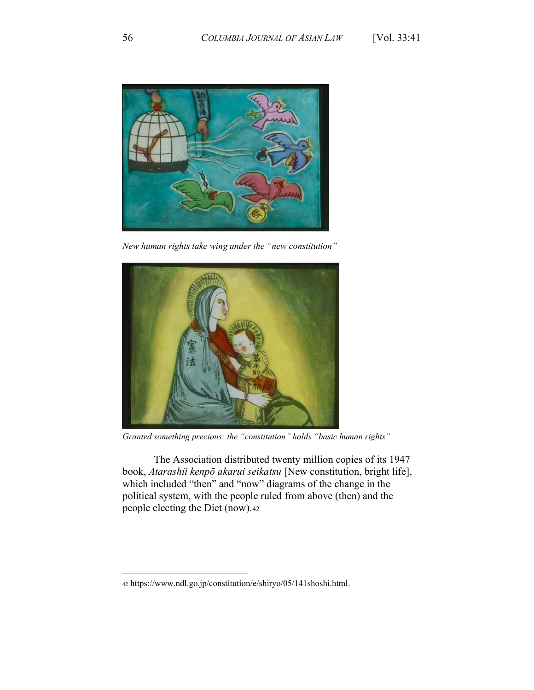

New human rights take wing under the "new constitution"



Granted something precious: the "constitution" holds "basic human rights"

The Association distributed twenty million copies of its 1947 book, Atarashii kenpō akarui seikatsu [New constitution, bright life], which included "then" and "now" diagrams of the change in the political system, with the people ruled from above (then) and the people electing the Diet (now).42

<sup>42</sup> https://www.ndl.go.jp/constitution/e/shiryo/05/141shoshi.html.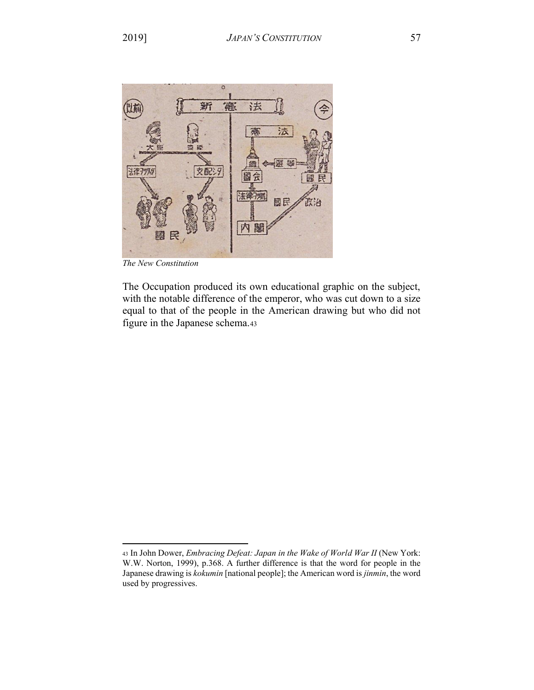

*The New Constitution*

The Occupation produced its own educational graphic on the subject, with the notable difference of the emperor, who was cut down to a size equal to that of the people in the American drawing but who did not figure in the Japanese schema.43

<sup>43</sup> In John Dower, *Embracing Defeat: Japan in the Wake of World War II* (New York: W.W. Norton, 1999), p.368. A further difference is that the word for people in the Japanese drawing is *kokumin* [national people]; the American word is *jinmin*, the word used by progressives.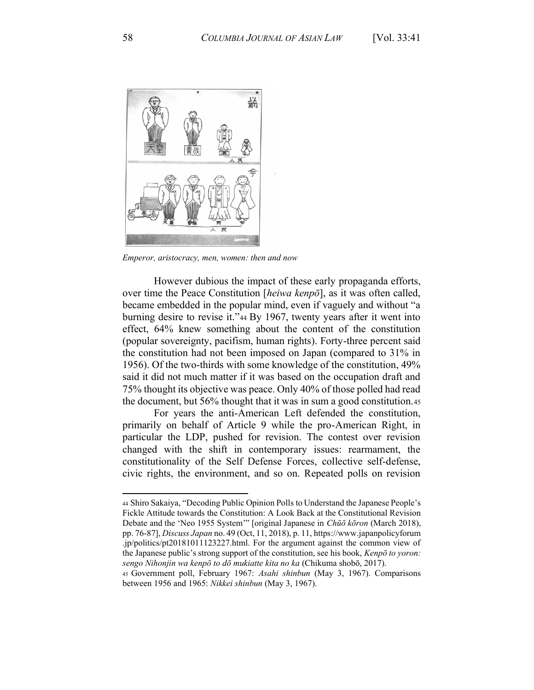

*Emperor, aristocracy, men, women: then and now*

However dubious the impact of these early propaganda efforts, over time the Peace Constitution [*heiwa kenpō*], as it was often called, became embedded in the popular mind, even if yaguely and without "a burning desire to revise it."44 By 1967, twenty years after it went into effect, 64% knew something about the content of the constitution (popular sovereignty, pacifism, human rights). Forty-three percent said the constitution had not been imposed on Japan (compared to 31% in 1956). Of the two-thirds with some knowledge of the constitution, 49% said it did not much matter if it was based on the occupation draft and 75% thought its objective was peace. Only 40% of those polled had read the document, but 56% thought that it was in sum a good constitution.45

For years the anti-American Left defended the constitution, primarily on behalf of Article 9 while the pro-American Right, in particular the LDP, pushed for revision. The contest over revision changed with the shift in contemporary issues: rearmament, the constitutionality of the Self Defense Forces, collective self-defense, civic rights, the environment, and so on. Repeated polls on revision

<sup>44</sup> Shiro Sakaiya, "Decoding Public Opinion Polls to Understand the Japanese People's Fickle Attitude towards the Constitution: A Look Back at the Constitutional Revision Debate and the 'Neo 1955 System'" [original Japanese in *Chūō kōron* (March 2018), pp. 76-87], *Discuss Japan* no. 49 (Oct, 11, 2018), p. 11, https://www.japanpolicyforum .jp/politics/pt20181011123227.html. For the argument against the common view of the Japanese public's strong support of the constitution, see his book, *Kenpō to yoron: sengo Nihonjin wa kenpō to dō mukiatte kita no ka* (Chikuma shobō, 2017).

<sup>45</sup> Government poll, February 1967: *Asahi shinbun* (May 3, 1967). Comparisons between 1956 and 1965: *Nikkei shinbun* (May 3, 1967).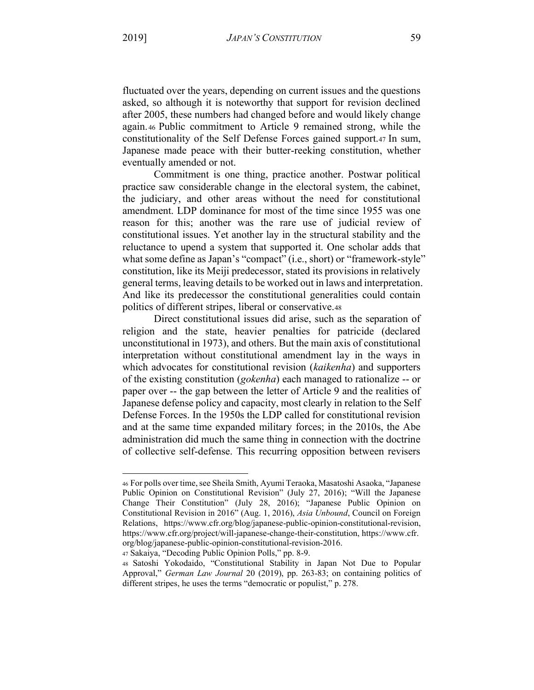fluctuated over the years, depending on current issues and the questions asked, so although it is noteworthy that support for revision declined after 2005, these numbers had changed before and would likely change again.46 Public commitment to Article 9 remained strong, while the constitutionality of the Self Defense Forces gained support.47 In sum, Japanese made peace with their butter-reeking constitution, whether eventually amended or not.

Commitment is one thing, practice another. Postwar political practice saw considerable change in the electoral system, the cabinet, the judiciary, and other areas without the need for constitutional amendment. LDP dominance for most of the time since 1955 was one reason for this; another was the rare use of judicial review of constitutional issues. Yet another lay in the structural stability and the reluctance to upend a system that supported it. One scholar adds that what some define as Japan's "compact" (i.e., short) or "framework-style" constitution, like its Meiji predecessor, stated its provisions in relatively general terms, leaving details to be worked out in laws and interpretation. And like its predecessor the constitutional generalities could contain politics of different stripes, liberal or conservative.48

Direct constitutional issues did arise, such as the separation of religion and the state, heavier penalties for patricide (declared unconstitutional in 1973), and others. But the main axis of constitutional interpretation without constitutional amendment lay in the ways in which advocates for constitutional revision (kaikenha) and supporters of the existing constitution (*gokenha*) each managed to rationalize -- or paper over -- the gap between the letter of Article 9 and the realities of Japanese defense policy and capacity, most clearly in relation to the Self Defense Forces. In the 1950s the LDP called for constitutional revision and at the same time expanded military forces; in the 2010s, the Abe administration did much the same thing in connection with the doctrine of collective self-defense. This recurring opposition between revisers

<sup>46</sup> For polls over time, see Sheila Smith, Ayumi Teraoka, Masatoshi Asaoka, "Japanese Public Opinion on Constitutional Revision" (July 27, 2016); "Will the Japanese Change Their Constitution" (July 28, 2016); "Japanese Public Opinion on Constitutional Revision in 2016" (Aug. 1, 2016), Asia Unbound, Council on Foreign Relations, https://www.cfr.org/blog/japanese-public-opinion-constitutional-revision, https://www.cfr.org/project/will-japanese-change-their-constitution, https://www.cfr. org/blog/japanese-public-opinion-constitutional-revision-2016.

<sup>47</sup> Sakaiya, "Decoding Public Opinion Polls," pp. 8-9.

<sup>48</sup> Satoshi Yokodaido, "Constitutional Stability in Japan Not Due to Popular Approval," German Law Journal 20 (2019), pp. 263-83; on containing politics of different stripes, he uses the terms "democratic or populist," p. 278.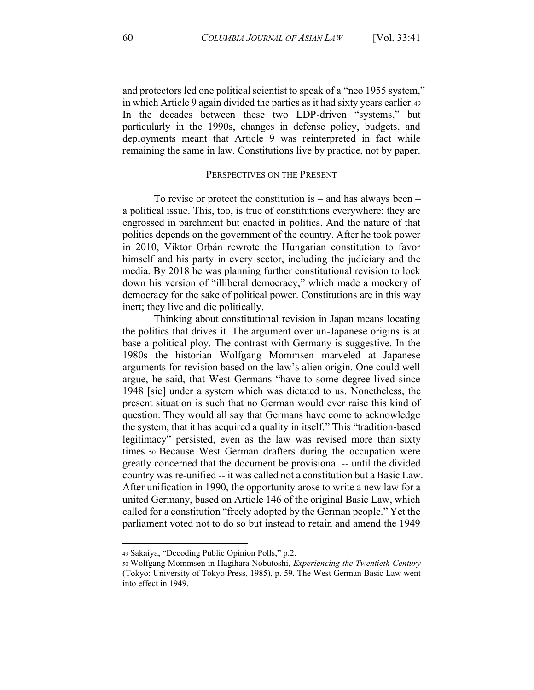and protectors led one political scientist to speak of a "neo 1955 system," in which Article 9 again divided the parties as it had sixty years earlier.49 In the decades between these two LDP-driven "systems," but particularly in the 1990s, changes in defense policy, budgets, and deployments meant that Article 9 was reinterpreted in fact while remaining the same in law. Constitutions live by practice, not by paper.

## PERSPECTIVES ON THE PRESENT

To revise or protect the constitution is  $-$  and has always been  $$ a political issue. This, too, is true of constitutions everywhere: they are engrossed in parchment but enacted in politics. And the nature of that politics depends on the government of the country. After he took power in 2010, Viktor Orbán rewrote the Hungarian constitution to favor himself and his party in every sector, including the judiciary and the media. By 2018 he was planning further constitutional revision to lock down his version of "illiberal democracy," which made a mockery of democracy for the sake of political power. Constitutions are in this way inert; they live and die politically.

Thinking about constitutional revision in Japan means locating the politics that drives it. The argument over un-Japanese origins is at base a political ploy. The contrast with Germany is suggestive. In the 1980s the historian Wolfgang Mommsen marveled at Japanese arguments for revision based on the law's alien origin. One could well argue, he said, that West Germans "have to some degree lived since 1948 [sic] under a system which was dictated to us. Nonetheless, the present situation is such that no German would ever raise this kind of question. They would all say that Germans have come to acknowledge the system, that it has acquired a quality in itself." This "tradition-based legitimacy" persisted, even as the law was revised more than sixty times so Because West German drafters during the occupation were greatly concerned that the document be provisional -- until the divided country was re-unified -- it was called not a constitution but a Basic Law. After unification in 1990, the opportunity arose to write a new law for a united Germany, based on Article 146 of the original Basic Law, which called for a constitution "freely adopted by the German people." Yet the parliament voted not to do so but instead to retain and amend the 1949

<sup>49</sup> Sakaiya, "Decoding Public Opinion Polls," p.2.

so Wolfgang Mommsen in Hagihara Nobutoshi, *Experiencing the Twentieth Century* (Tokyo: University of Tokyo Press, 1985), p. 59. The West German Basic Law went into effect in 1949.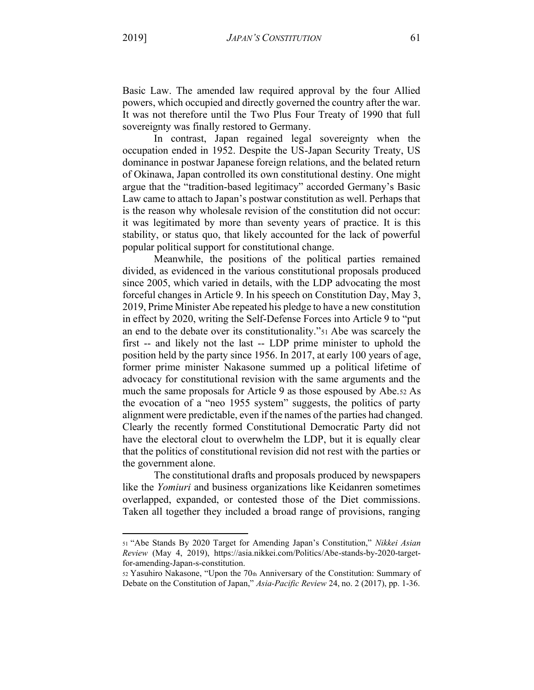Basic Law. The amended law required approval by the four Allied powers, which occupied and directly governed the country after the war. It was not therefore until the Two Plus Four Treaty of 1990 that full sovereignty was finally restored to Germany.

In contrast, Japan regained legal sovereignty when the occupation ended in 1952. Despite the US-Japan Security Treaty, US dominance in postwar Japanese foreign relations, and the belated return of Okinawa, Japan controlled its own constitutional destiny. One might argue that the "tradition-based legitimacy" accorded Germany's Basic Law came to attach to Japan's postwar constitution as well. Perhaps that is the reason why wholesale revision of the constitution did not occur: it was legitimated by more than seventy years of practice. It is this stability, or status quo, that likely accounted for the lack of powerful popular political support for constitutional change.

Meanwhile, the positions of the political parties remained divided, as evidenced in the various constitutional proposals produced since 2005, which varied in details, with the LDP advocating the most forceful changes in Article 9. In his speech on Constitution Day, May 3, 2019, Prime Minister Abe repeated his pledge to have a new constitution in effect by 2020, writing the Self-Defense Forces into Article 9 to "put an end to the debate over its constitutionality."<sup>51</sup> Abe was scarcely the first -- and likely not the last -- LDP prime minister to uphold the position held by the party since 1956. In 2017, at early 100 years of age, former prime minister Nakasone summed up a political lifetime of advocacy for constitutional revision with the same arguments and the much the same proposals for Article 9 as those espoused by Abe.52 As the evocation of a "neo 1955 system" suggests, the politics of party alignment were predictable, even if the names of the parties had changed. Clearly the recently formed Constitutional Democratic Party did not have the electoral clout to overwhelm the LDP, but it is equally clear that the politics of constitutional revision did not rest with the parties or the government alone.

The constitutional drafts and proposals produced by newspapers like the Yomiuri and business organizations like Keidanren sometimes overlapped, expanded, or contested those of the Diet commissions. Taken all together they included a broad range of provisions, ranging

<sup>51 &</sup>quot;Abe Stands By 2020 Target for Amending Japan's Constitution," Nikkei Asian Review (May 4, 2019), https://asia.nikkei.com/Politics/Abe-stands-by-2020-targetfor-amending-Japan-s-constitution.

<sup>52</sup> Yasuhiro Nakasone, "Upon the 70th Anniversary of the Constitution: Summary of Debate on the Constitution of Japan," Asia-Pacific Review 24, no. 2 (2017), pp. 1-36.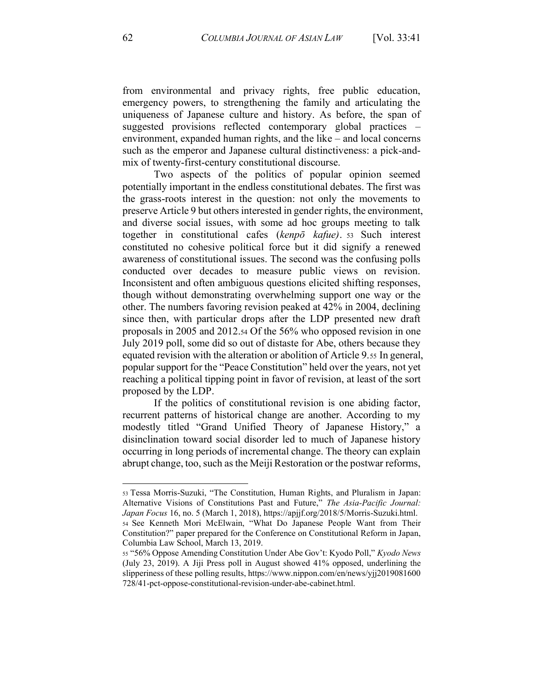from environmental and privacy rights, free public education, emergency powers, to strengthening the family and articulating the uniqueness of Japanese culture and history. As before, the span of suggested provisions reflected contemporary global practices environment, expanded human rights, and the like – and local concerns such as the emperor and Japanese cultural distinctiveness: a pick-andmix of twenty-first-century constitutional discourse.

Two aspects of the politics of popular opinion seemed potentially important in the endless constitutional debates. The first was the grass-roots interest in the question: not only the movements to preserve Article 9 but others interested in gender rights, the environment, and diverse social issues, with some ad hoc groups meeting to talk together in constitutional cafes (*kenpǀ kafue)*. <sup>53</sup> Such interest constituted no cohesive political force but it did signify a renewed awareness of constitutional issues. The second was the confusing polls conducted over decades to measure public views on revision. Inconsistent and often ambiguous questions elicited shifting responses, though without demonstrating overwhelming support one way or the other. The numbers favoring revision peaked at 42% in 2004, declining since then, with particular drops after the LDP presented new draft proposals in 2005 and 2012.54 Of the 56% who opposed revision in one July 2019 poll, some did so out of distaste for Abe, others because they equated revision with the alteration or abolition of Article 9.55 In general, popular support for the "Peace Constitution" held over the years, not yet reaching a political tipping point in favor of revision, at least of the sort proposed by the LDP.

If the politics of constitutional revision is one abiding factor, recurrent patterns of historical change are another. According to my modestly titled "Grand Unified Theory of Japanese History," a disinclination toward social disorder led to much of Japanese history occurring in long periods of incremental change. The theory can explain abrupt change, too, such as the Meiji Restoration or the postwar reforms,

<sup>53</sup> Tessa Morris-Suzuki, "The Constitution, Human Rights, and Pluralism in Japan: Alternative Visions of Constitutions Past and Future," The Asia-Pacific Journal: *Japan Focus* 16, no. 5 (March 1, 2018), https://apjjf.org/2018/5/Morris-Suzuki.html. 54 See Kenneth Mori McElwain, "What Do Japanese People Want from Their Constitution?" paper prepared for the Conference on Constitutional Reform in Japan, Columbia Law School, March 13, 2019.

<sup>55 &</sup>quot;56% Oppose Amending Constitution Under Abe Gov't: Kyodo Poll," Kyodo News (July 23, 2019). A Jiji Press poll in August showed 41% opposed, underlining the slipperiness of these polling results, https://www.nippon.com/en/news/yjj2019081600 728/41-pct-oppose-constitutional-revision-under-abe-cabinet.html.